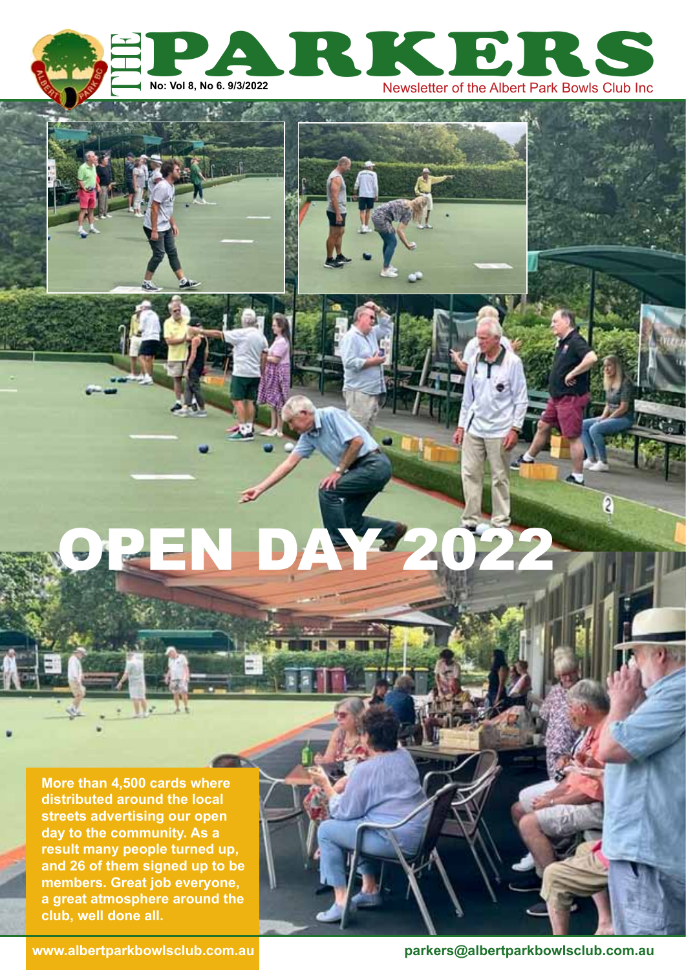



OPEN DAY 2022

**More than 4,500 cards where distributed around the local streets advertising our open day to the community. As a result many people turned up, and 26 of them signed up to be members. Great job everyone, a great atmosphere around the club, well done all.**

**www.albertparkbowlsclub.com.au parkers@albertparkbowlsclub.com.au**

 $\overline{\mathbf{2}}$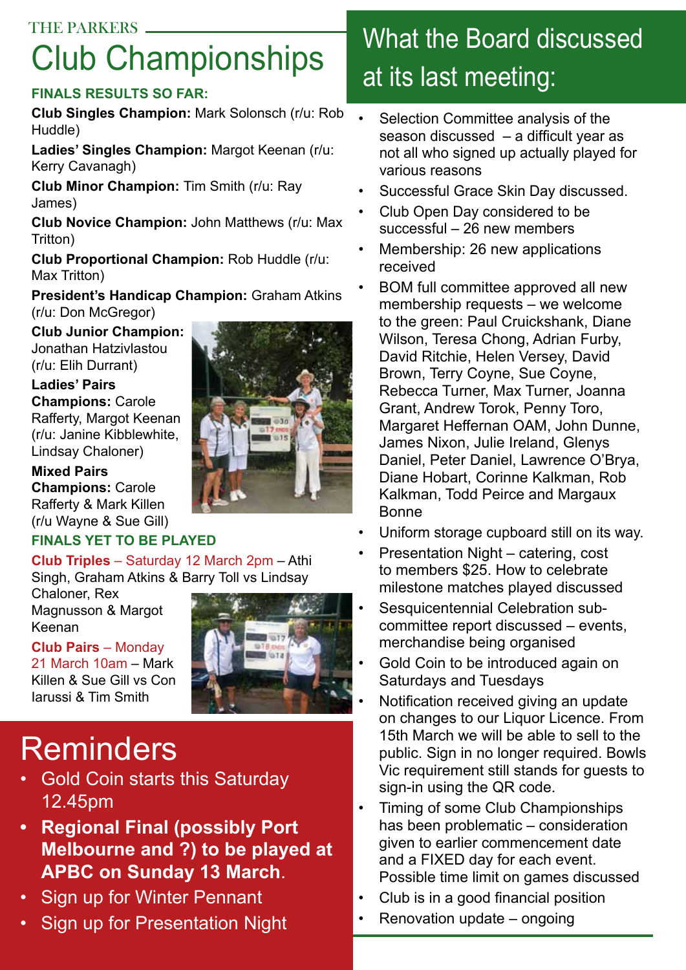# THE PARKERS What the Board discussed Club Championships

## **Finals results so far:**

**Club Singles Champion:** Mark Solonsch (r/u: Rob Huddle)

**Ladies' Singles Champion:** Margot Keenan (r/u: Kerry Cavanagh)

**Club Minor Champion:** Tim Smith (r/u: Ray James)

**Club Novice Champion:** John Matthews (r/u: Max Tritton)

**Club Proportional Champion:** Rob Huddle (r/u: Max Tritton)

**President's Handicap Champion:** Graham Atkins (r/u: Don McGregor)

**Club Junior Champion:**  Jonathan Hatzivlastou (r/u: Elih Durrant)

### **Ladies' Pairs**

**Champions:** Carole Rafferty, Margot Keenan (r/u: Janine Kibblewhite, Lindsay Chaloner)

#### **Mixed Pairs Champions:** Carole Rafferty & Mark Killen (r/u Wayne & Sue Gill)

## **finals yet to be played**

**Club Triples** – Saturday 12 March 2pm – Athi Singh, Graham Atkins & Barry Toll vs Lindsay

Chaloner, Rex Magnusson & Margot Keenan

**Club Pairs** – Monday

21 March 10am – Mark Killen & Sue Gill vs Con Iarussi & Tim Smith



# Reminders

- Gold Coin starts this Saturday 12.45pm
- **• Regional Final (possibly Port Melbourne and ?) to be played at APBC on Sunday 13 March**.
- Sign up for Winter Pennant
- Sign up for Presentation Night

# at its last meeting:

- Selection Committee analysis of the season discussed – a difficult year as not all who signed up actually played for various reasons
- Successful Grace Skin Day discussed.
- Club Open Day considered to be successful – 26 new members
- Membership: 26 new applications received
- BOM full committee approved all new membership requests – we welcome to the green: Paul Cruickshank, Diane Wilson, Teresa Chong, Adrian Furby, David Ritchie, Helen Versey, David Brown, Terry Coyne, Sue Coyne, Rebecca Turner, Max Turner, Joanna Grant, Andrew Torok, Penny Toro, Margaret Heffernan OAM, John Dunne, James Nixon, Julie Ireland, Glenys Daniel, Peter Daniel, Lawrence O'Brya, Diane Hobart, Corinne Kalkman, Rob Kalkman, Todd Peirce and Margaux Bonne
- Uniform storage cupboard still on its way.
- Presentation Night catering, cost to members \$25. How to celebrate milestone matches played discussed
- Sesquicentennial Celebration subcommittee report discussed – events, merchandise being organised
- Gold Coin to be introduced again on Saturdays and Tuesdays
- Notification received giving an update on changes to our Liquor Licence. From 15th March we will be able to sell to the public. Sign in no longer required. Bowls Vic requirement still stands for guests to sign-in using the QR code.
- Timing of some Club Championships has been problematic – consideration given to earlier commencement date and a FIXED day for each event. Possible time limit on games discussed
- Club is in a good financial position
- Renovation update ongoing

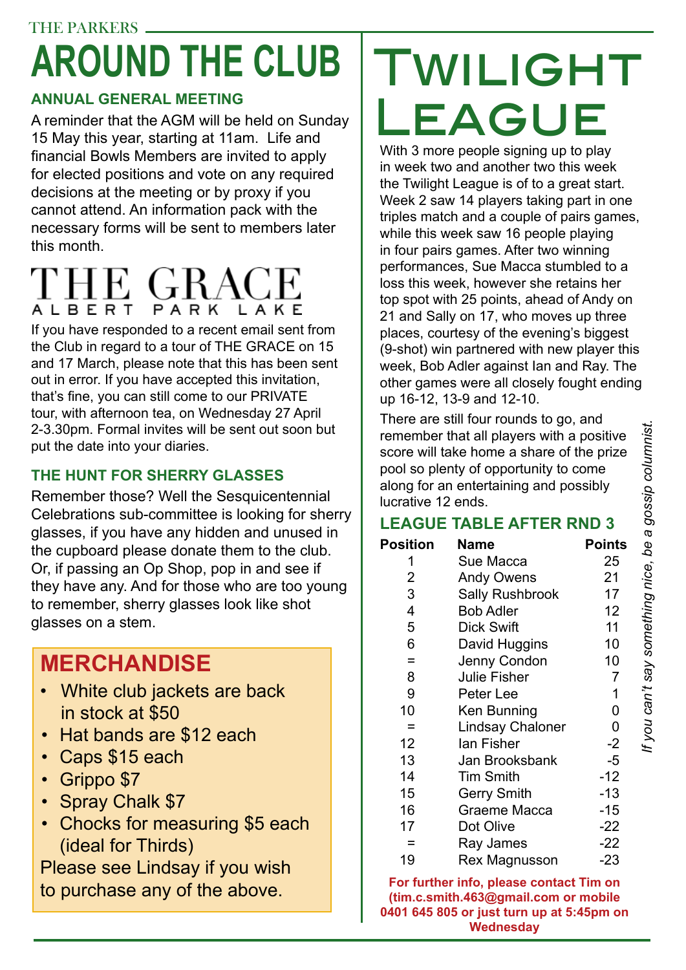# THE PARKERS. **around the club**

# **Annual General Meeting**

A reminder that the AGM will be held on Sunday 15 May this year, starting at 11am. Life and financial Bowls Members are invited to apply for elected positions and vote on any required decisions at the meeting or by proxy if you cannot attend. An information pack with the necessary forms will be sent to members later this month.

# ALBERT PARK LAKE

If you have responded to a recent email sent from the Club in regard to a tour of THE GRACE on 15 and 17 March, please note that this has been sent out in error. If you have accepted this invitation, that's fine, you can still come to our PRIVATE tour, with afternoon tea, on Wednesday 27 April 2-3.30pm. Formal invites will be sent out soon but put the date into your diaries.

## **the hunt for sherry glasses**

Remember those? Well the Sesquicentennial Celebrations sub-committee is looking for sherry glasses, if you have any hidden and unused in the cupboard please donate them to the club. Or, if passing an Op Shop, pop in and see if they have any. And for those who are too young to remember, sherry glasses look like shot glasses on a stem.

# **MERCHANDISE**

- White club jackets are back in stock at \$50
- Hat bands are \$12 each
- Caps \$15 each
- Grippo \$7
- Spray Chalk \$7
- Chocks for measuring \$5 each (ideal for Thirds)

Please see Lindsay if you wish to purchase any of the above.

# TWILIGHT League

With 3 more people signing up to play in week two and another two this week the Twilight League is of to a great start. Week 2 saw 14 players taking part in one triples match and a couple of pairs games, while this week saw 16 people playing in four pairs games. After two winning performances, Sue Macca stumbled to a loss this week, however she retains her top spot with 25 points, ahead of Andy on 21 and Sally on 17, who moves up three places, courtesy of the evening's biggest (9-shot) win partnered with new player this week, Bob Adler against Ian and Ray. The other games were all closely fought ending up 16-12, 13-9 and 12-10.

There are still four rounds to go, and remember that all players with a positive score will take home a share of the prize pool so plenty of opportunity to come along for an entertaining and possibly lucrative 12 ends.

## **League Table after Rnd 3**

| <b>Position</b> | Name                    | <b>Points</b>  |
|-----------------|-------------------------|----------------|
| 1               | Sue Macca               | 25             |
| 2               | <b>Andy Owens</b>       | 21             |
| 3               | <b>Sally Rushbrook</b>  | 17             |
| 4               | <b>Bob Adler</b>        | 12             |
| 5               | <b>Dick Swift</b>       | 11             |
| 6               | David Huggins           | 10             |
| Ξ               | Jenny Condon            | 10             |
| 8               | <b>Julie Fisher</b>     | $\overline{7}$ |
| 9               | Peter Lee               | 1              |
| 10              | Ken Bunning             | 0              |
| =               | <b>Lindsay Chaloner</b> | 0              |
| 12              | lan Fisher              | $-2$           |
| 13              | Jan Brooksbank          | $-5$           |
| 14              | <b>Tim Smith</b>        | $-12$          |
| 15              | <b>Gerry Smith</b>      | $-13$          |
| 16              | Graeme Macca            | $-15$          |
| 17              | Dot Olive               | $-22$          |
|                 | Ray James               | $-22$          |
| 19              | Rex Magnusson           | -23            |

**For further info, please contact Tim on (tim.c.smith.463@gmail.com or mobile 0401 645 805 or just turn up at 5:45pm on Wednesday**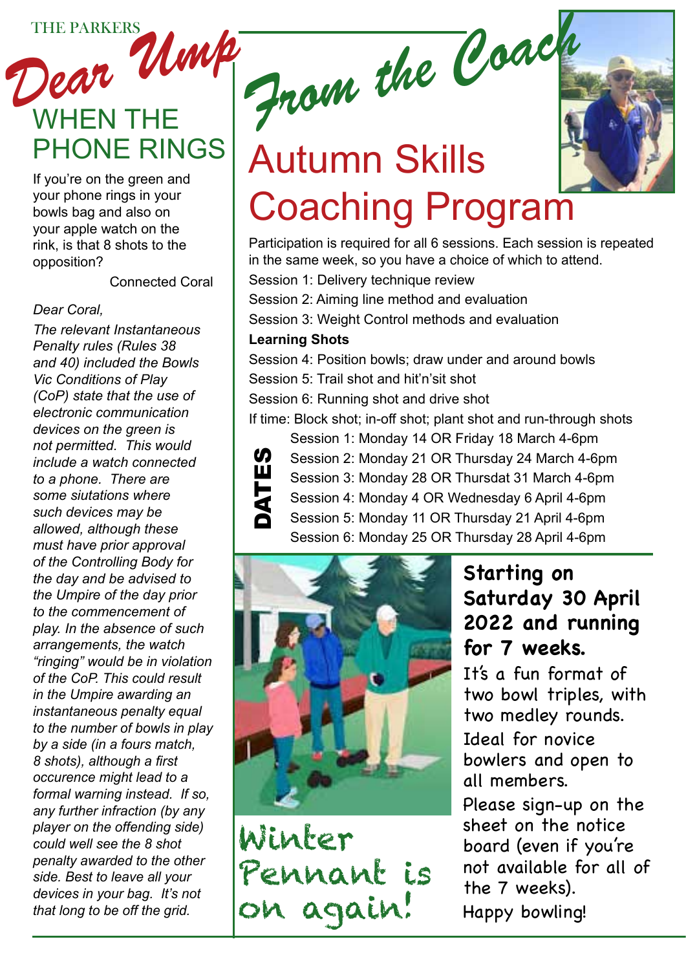# THE PARKERS UMP. WHEN THE<br>PHONE RINGS

If you're on the green and your phone rings in your bowls bag and also on your apple watch on the rink, is that 8 shots to the opposition?

Connected Coral

### *Dear Coral,*

*The relevant Instantaneous Penalty rules (Rules 38 and 40) included the Bowls Vic Conditions of Play (CoP) state that the use of electronic communication devices on the green is not permitted. This would include a watch connected to a phone. There are some siutations where such devices may be allowed, although these must have prior approval of the Controlling Body for the day and be advised to the Umpire of the day prior to the commencement of play. In the absence of such arrangements, the watch "ringing" would be in violation of the CoP. This could result in the Umpire awarding an instantaneous penalty equal to the number of bowls in play by a side (in a fours match, 8 shots), although a first occurence might lead to a formal warning instead. If so, any further infraction (by any player on the offending side) could well see the 8 shot penalty awarded to the other side. Best to leave all your devices in your bag. It's not that long to be off the grid.*

*From the Coach*

# **Autumn Skills** Coaching Program

Participation is required for all 6 sessions. Each session is repeated in the same week, so you have a choice of which to attend.

Session 1: Delivery technique review

Session 2: Aiming line method and evaluation

Session 3: Weight Control methods and evaluation

## **Learning Shots**

Session 4: Position bowls; draw under and around bowls Session 5: Trail shot and hit'n'sit shot

Session 6: Running shot and drive shot

If time: Block shot; in-off shot; plant shot and run-through shots



Session 1: Monday 14 OR Friday 18 March 4-6pm Session 2: Monday 21 OR Thursday 24 March 4-6pm Session 3: Monday 28 OR Thursdat 31 March 4-6pm Session 4: Monday 4 OR Wednesday 6 April 4-6pm Session 5: Monday 11 OR Thursday 21 April 4-6pm Session 6: Monday 25 OR Thursday 28 April 4-6pm



Winter Pennant is

# **Starting on Saturday 30 April 2022 and running for 7 weeks.**

It's a fun format of two bowl triples, with two medley rounds. Ideal for novice bowlers and open to all members.

Please sign-up on the sheet on the notice board (even if you're not available for all of the 7 weeks). Happy bowling!